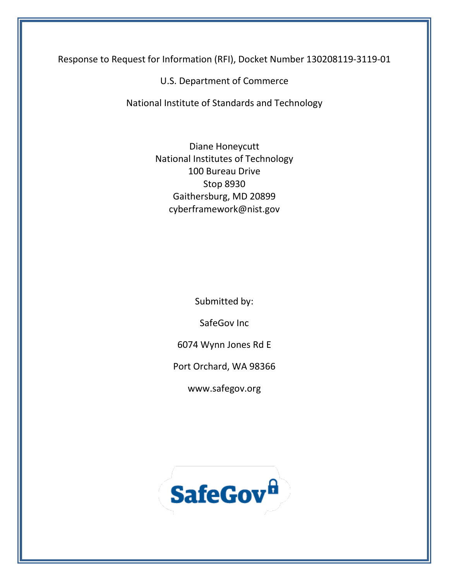Response to Request for Information (RFI), Docket Number 130208119-3119-01

U.S. Department of Commerce

National Institute of Standards and Technology

Diane Honeycutt National Institutes of Technology 100 Bureau Drive Stop 8930 Gaithersburg, MD 20899 cyberframework@nist.gov

Submitted by:

SafeGov Inc

6074 Wynn Jones Rd E

Port Orchard, WA 98366

www.safegov.org

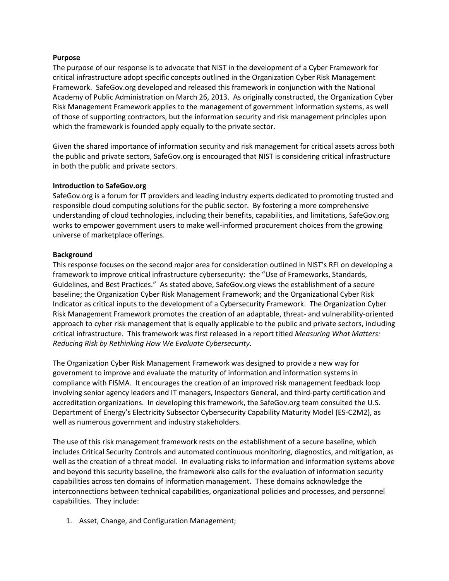### **Purpose**

The purpose of our response is to advocate that NIST in the development of a Cyber Framework for critical infrastructure adopt specific concepts outlined in the Organization Cyber Risk Management Framework. SafeGov.org developed and released this framework in conjunction with the National Academy of Public Administration on March 26, 2013. As originally constructed, the Organization Cyber Risk Management Framework applies to the management of government information systems, as well of those of supporting contractors, but the information security and risk management principles upon which the framework is founded apply equally to the private sector.

Given the shared importance of information security and risk management for critical assets across both the public and private sectors, SafeGov.org is encouraged that NIST is considering critical infrastructure in both the public and private sectors.

### **Introduction to SafeGov.org**

SafeGov.org is a forum for IT providers and leading industry experts dedicated to promoting trusted and responsible cloud computing solutions for the public sector. By fostering a more comprehensive understanding of cloud technologies, including their benefits, capabilities, and limitations, SafeGov.org works to empower government users to make well-informed procurement choices from the growing universe of marketplace offerings.

### **Background**

This response focuses on the second major area for consideration outlined in NIST's RFI on developing a framework to improve critical infrastructure cybersecurity: the "Use of Frameworks, Standards, Guidelines, and Best Practices." As stated above, SafeGov.org views the establishment of a secure baseline; the Organization Cyber Risk Management Framework; and the Organizational Cyber Risk Indicator as critical inputs to the development of a Cybersecurity Framework. The Organization Cyber Risk Management Framework promotes the creation of an adaptable, threat- and vulnerability-oriented approach to cyber risk management that is equally applicable to the public and private sectors, including critical infrastructure. This framework was first released in a report titled *Measuring What Matters: Reducing Risk by Rethinking How We Evaluate Cybersecurity.*

The Organization Cyber Risk Management Framework was designed to provide a new way for government to improve and evaluate the maturity of information and information systems in compliance with FISMA. It encourages the creation of an improved risk management feedback loop involving senior agency leaders and IT managers, Inspectors General, and third-party certification and accreditation organizations. In developing this framework, the SafeGov.org team consulted the U.S. Department of Energy's Electricity Subsector Cybersecurity Capability Maturity Model (ES-C2M2), as well as numerous government and industry stakeholders.

The use of this risk management framework rests on the establishment of a secure baseline, which includes Critical Security Controls and automated continuous monitoring, diagnostics, and mitigation, as well as the creation of a threat model. In evaluating risks to information and information systems above and beyond this security baseline, the framework also calls for the evaluation of information security capabilities across ten domains of information management. These domains acknowledge the interconnections between technical capabilities, organizational policies and processes, and personnel capabilities. They include:

1. Asset, Change, and Configuration Management;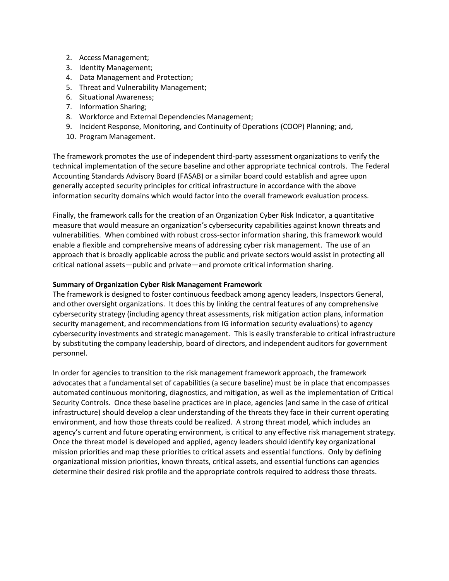- 2. Access Management;
- 3. Identity Management;
- 4. Data Management and Protection;
- 5. Threat and Vulnerability Management;
- 6. Situational Awareness;
- 7. Information Sharing;
- 8. Workforce and External Dependencies Management;
- 9. Incident Response, Monitoring, and Continuity of Operations (COOP) Planning; and,
- 10. Program Management.

The framework promotes the use of independent third-party assessment organizations to verify the technical implementation of the secure baseline and other appropriate technical controls. The Federal Accounting Standards Advisory Board (FASAB) or a similar board could establish and agree upon generally accepted security principles for critical infrastructure in accordance with the above information security domains which would factor into the overall framework evaluation process.

Finally, the framework calls for the creation of an Organization Cyber Risk Indicator, a quantitative measure that would measure an organization's cybersecurity capabilities against known threats and vulnerabilities. When combined with robust cross-sector information sharing, this framework would enable a flexible and comprehensive means of addressing cyber risk management. The use of an approach that is broadly applicable across the public and private sectors would assist in protecting all critical national assets—public and private—and promote critical information sharing.

## **Summary of Organization Cyber Risk Management Framework**

The framework is designed to foster continuous feedback among agency leaders, Inspectors General, and other oversight organizations. It does this by linking the central features of any comprehensive cybersecurity strategy (including agency threat assessments, risk mitigation action plans, information security management, and recommendations from IG information security evaluations) to agency cybersecurity investments and strategic management. This is easily transferable to critical infrastructure by substituting the company leadership, board of directors, and independent auditors for government personnel.

In order for agencies to transition to the risk management framework approach, the framework advocates that a fundamental set of capabilities (a secure baseline) must be in place that encompasses automated continuous monitoring, diagnostics, and mitigation, as well as the implementation of Critical Security Controls. Once these baseline practices are in place, agencies (and same in the case of critical infrastructure) should develop a clear understanding of the threats they face in their current operating environment, and how those threats could be realized. A strong threat model, which includes an agency's current and future operating environment, is critical to any effective risk management strategy. Once the threat model is developed and applied, agency leaders should identify key organizational mission priorities and map these priorities to critical assets and essential functions. Only by defining organizational mission priorities, known threats, critical assets, and essential functions can agencies determine their desired risk profile and the appropriate controls required to address those threats.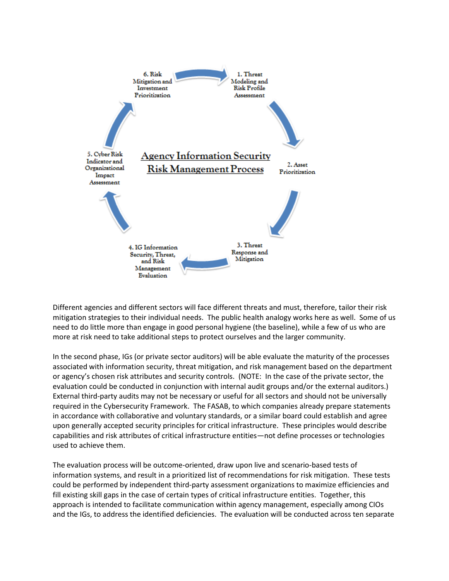

Different agencies and different sectors will face different threats and must, therefore, tailor their risk mitigation strategies to their individual needs. The public health analogy works here as well. Some of us need to do little more than engage in good personal hygiene (the baseline), while a few of us who are more at risk need to take additional steps to protect ourselves and the larger community.

In the second phase, IGs (or private sector auditors) will be able evaluate the maturity of the processes associated with information security, threat mitigation, and risk management based on the department or agency's chosen risk attributes and security controls. (NOTE: In the case of the private sector, the evaluation could be conducted in conjunction with internal audit groups and/or the external auditors.) External third-party audits may not be necessary or useful for all sectors and should not be universally required in the Cybersecurity Framework. The FASAB, to which companies already prepare statements in accordance with collaborative and voluntary standards, or a similar board could establish and agree upon generally accepted security principles for critical infrastructure. These principles would describe capabilities and risk attributes of critical infrastructure entities—not define processes or technologies used to achieve them.

The evaluation process will be outcome-oriented, draw upon live and scenario-based tests of information systems, and result in a prioritized list of recommendations for risk mitigation. These tests could be performed by independent third-party assessment organizations to maximize efficiencies and fill existing skill gaps in the case of certain types of critical infrastructure entities. Together, this approach is intended to facilitate communication within agency management, especially among CIOs and the IGs, to address the identified deficiencies. The evaluation will be conducted across ten separate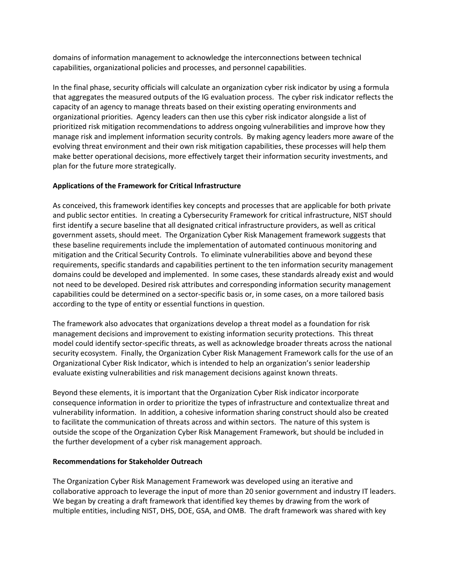domains of information management to acknowledge the interconnections between technical capabilities, organizational policies and processes, and personnel capabilities.

In the final phase, security officials will calculate an organization cyber risk indicator by using a formula that aggregates the measured outputs of the IG evaluation process. The cyber risk indicator reflects the capacity of an agency to manage threats based on their existing operating environments and organizational priorities. Agency leaders can then use this cyber risk indicator alongside a list of prioritized risk mitigation recommendations to address ongoing vulnerabilities and improve how they manage risk and implement information security controls. By making agency leaders more aware of the evolving threat environment and their own risk mitigation capabilities, these processes will help them make better operational decisions, more effectively target their information security investments, and plan for the future more strategically.

# **Applications of the Framework for Critical Infrastructure**

As conceived, this framework identifies key concepts and processes that are applicable for both private and public sector entities. In creating a Cybersecurity Framework for critical infrastructure, NIST should first identify a secure baseline that all designated critical infrastructure providers, as well as critical government assets, should meet. The Organization Cyber Risk Management framework suggests that these baseline requirements include the implementation of automated continuous monitoring and mitigation and the Critical Security Controls. To eliminate vulnerabilities above and beyond these requirements, specific standards and capabilities pertinent to the ten information security management domains could be developed and implemented. In some cases, these standards already exist and would not need to be developed. Desired risk attributes and corresponding information security management capabilities could be determined on a sector-specific basis or, in some cases, on a more tailored basis according to the type of entity or essential functions in question.

The framework also advocates that organizations develop a threat model as a foundation for risk management decisions and improvement to existing information security protections. This threat model could identify sector-specific threats, as well as acknowledge broader threats across the national security ecosystem. Finally, the Organization Cyber Risk Management Framework calls for the use of an Organizational Cyber Risk Indicator, which is intended to help an organization's senior leadership evaluate existing vulnerabilities and risk management decisions against known threats.

Beyond these elements, it is important that the Organization Cyber Risk indicator incorporate consequence information in order to prioritize the types of infrastructure and contextualize threat and vulnerability information. In addition, a cohesive information sharing construct should also be created to facilitate the communication of threats across and within sectors. The nature of this system is outside the scope of the Organization Cyber Risk Management Framework, but should be included in the further development of a cyber risk management approach.

## **Recommendations for Stakeholder Outreach**

The Organization Cyber Risk Management Framework was developed using an iterative and collaborative approach to leverage the input of more than 20 senior government and industry IT leaders. We began by creating a draft framework that identified key themes by drawing from the work of multiple entities, including NIST, DHS, DOE, GSA, and OMB. The draft framework was shared with key